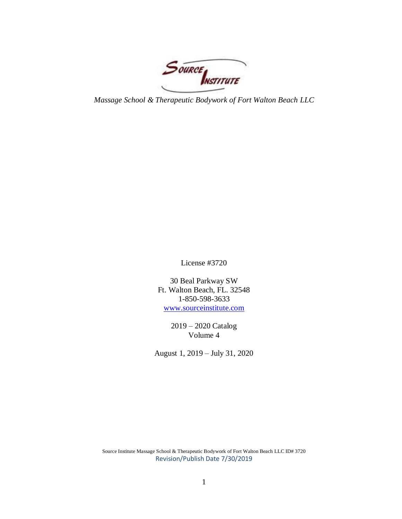Source INSTITUTE

*Massage School & Therapeutic Bodywork of Fort Walton Beach LLC*

License #3720

30 Beal Parkway SW Ft. Walton Beach, FL. 32548 1-850-598-3633 [www.sourceinstitute.com](http://www.sourceinstitute.com/)

> 2019 – 2020 Catalog Volume 4

August 1, 2019 – July 31, 2020

Source Institute Massage School & Therapeutic Bodywork of Fort Walton Beach LLC ID# 3720 Revision/Publish Date 7/30/2019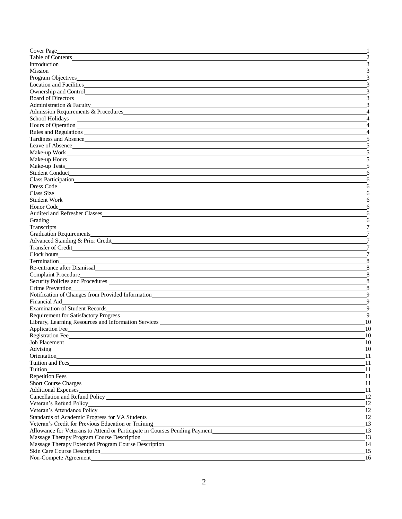| Cover Page                                                                                                                                                                                                                       |                                  |
|----------------------------------------------------------------------------------------------------------------------------------------------------------------------------------------------------------------------------------|----------------------------------|
|                                                                                                                                                                                                                                  | $\mathcal{D}_{\mathcal{A}}$      |
|                                                                                                                                                                                                                                  |                                  |
|                                                                                                                                                                                                                                  |                                  |
| Program Objectives                                                                                                                                                                                                               |                                  |
|                                                                                                                                                                                                                                  |                                  |
| Ownership and Control                                                                                                                                                                                                            |                                  |
|                                                                                                                                                                                                                                  |                                  |
| Board of Directors<br>Administration & Faculty<br><u>Administration &amp; Faculty</u>                                                                                                                                            |                                  |
| Admission Requirements & Procedures                                                                                                                                                                                              |                                  |
| School Holidays                                                                                                                                                                                                                  |                                  |
| <u> 1989 - Johann Harry Harry Harry Harry Harry Harry Harry Harry Harry Harry Harry Harry Harry Harry Harry Harry</u>                                                                                                            |                                  |
| Rules and Regulations                                                                                                                                                                                                            |                                  |
|                                                                                                                                                                                                                                  |                                  |
| Tardiness and Absence                                                                                                                                                                                                            |                                  |
|                                                                                                                                                                                                                                  |                                  |
| Make-up Work                                                                                                                                                                                                                     |                                  |
|                                                                                                                                                                                                                                  |                                  |
|                                                                                                                                                                                                                                  |                                  |
|                                                                                                                                                                                                                                  | 6                                |
|                                                                                                                                                                                                                                  | 6                                |
| Dress Code                                                                                                                                                                                                                       | 6                                |
|                                                                                                                                                                                                                                  | 6                                |
| Student Work                                                                                                                                                                                                                     | 6                                |
|                                                                                                                                                                                                                                  | 6                                |
| <b>Audited and Refresher Classes</b>                                                                                                                                                                                             | 6                                |
| Grading                                                                                                                                                                                                                          | 6                                |
|                                                                                                                                                                                                                                  |                                  |
| Graduation Requirements <b>Exercísion</b> Section 2014                                                                                                                                                                           |                                  |
| Advanced Standing & Prior Credit                                                                                                                                                                                                 |                                  |
|                                                                                                                                                                                                                                  |                                  |
|                                                                                                                                                                                                                                  |                                  |
|                                                                                                                                                                                                                                  | 8                                |
| Re-entrance after Dismissal<br><u>Example 2014</u>                                                                                                                                                                               | 8                                |
| Complaint Procedure<br>Security Policies and Procedures                                                                                                                                                                          | 8                                |
|                                                                                                                                                                                                                                  | 8                                |
| Crime Prevention                                                                                                                                                                                                                 | 8                                |
| Notification of Changes from Provided Information________________________________                                                                                                                                                | 9                                |
| Financial Aid                                                                                                                                                                                                                    | $\mathbf Q$                      |
|                                                                                                                                                                                                                                  | $\mathbf Q$                      |
| Requirement for Satisfactory Progress                                                                                                                                                                                            | 9                                |
| Library, Learning Resources and Information Services                                                                                                                                                                             | 10                               |
| <b>Application Fee</b>                                                                                                                                                                                                           | 10                               |
| Registration Fee                                                                                                                                                                                                                 | 10                               |
|                                                                                                                                                                                                                                  | 10                               |
| Advising and the contract of the contract of the contract of the contract of the contract of the contract of the contract of the contract of the contract of the contract of the contract of the contract of the contract of t   | $_{10}$                          |
|                                                                                                                                                                                                                                  | -11                              |
|                                                                                                                                                                                                                                  | 11                               |
|                                                                                                                                                                                                                                  | 11                               |
| Repetition Fees                                                                                                                                                                                                                  | $\_11$                           |
| Short Course Charges                                                                                                                                                                                                             | -11                              |
| Additional Expenses                                                                                                                                                                                                              | 11                               |
|                                                                                                                                                                                                                                  | 12                               |
|                                                                                                                                                                                                                                  | 12                               |
|                                                                                                                                                                                                                                  | 12                               |
| Standards of Academic Progress for VA Students                                                                                                                                                                                   | 12                               |
| Veteran's Credit for Previous Education or Training<br>Secretary 2021 - Andrew Schwarzen and Schwarzen and Schwarzen and Schwarzen and Schwarzen and Schwarzen and Schwarzen and Schwarzen and Schwarzen and Schwarzen and Schwa | 13                               |
|                                                                                                                                                                                                                                  |                                  |
|                                                                                                                                                                                                                                  | $\overline{\phantom{0}13}$<br>13 |
| Massage Therapy Program Course Description                                                                                                                                                                                       |                                  |
| Massage Therapy Extended Program Course Description<br>Massage Therapy Extended Program Course Description                                                                                                                       | 14                               |
|                                                                                                                                                                                                                                  | 15                               |
| Non-Compete Agreement                                                                                                                                                                                                            | 16                               |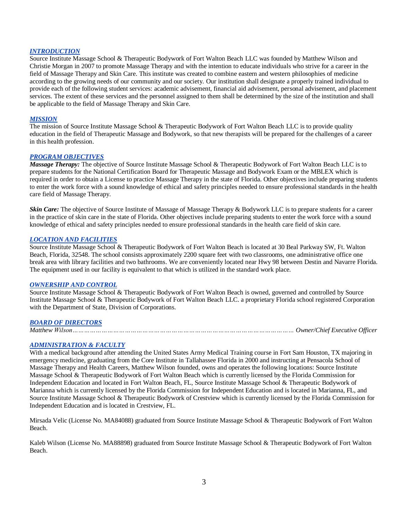### *INTRODUCTION*

Source Institute Massage School & Therapeutic Bodywork of Fort Walton Beach LLC was founded by Matthew Wilson and Christie Morgan in 2007 to promote Massage Therapy and with the intention to educate individuals who strive for a career in the field of Massage Therapy and Skin Care. This institute was created to combine eastern and western philosophies of medicine according to the growing needs of our community and our society. Our institution shall designate a properly trained individual to provide each of the following student services: academic advisement, financial aid advisement, personal advisement, and placement services. The extent of these services and the personnel assigned to them shall be determined by the size of the institution and shall be applicable to the field of Massage Therapy and Skin Care.

### *MISSION*

The mission of Source Institute Massage School & Therapeutic Bodywork of Fort Walton Beach LLC is to provide quality education in the field of Therapeutic Massage and Bodywork, so that new therapists will be prepared for the challenges of a career in this health profession.

### *PROGRAM OBJECTIVES*

*Massage Therapy:* The objective of Source Institute Massage School & Therapeutic Bodywork of Fort Walton Beach LLC is to prepare students for the National Certification Board for Therapeutic Massage and Bodywork Exam or the MBLEX which is required in order to obtain a License to practice Massage Therapy in the state of Florida. Other objectives include preparing students to enter the work force with a sound knowledge of ethical and safety principles needed to ensure professional standards in the health care field of Massage Therapy.

*Skin Care:* The objective of Source Institute of Massage of Massage Therapy & Bodywork LLC is to prepare students for a career in the practice of skin care in the state of Florida. Other objectives include preparing students to enter the work force with a sound knowledge of ethical and safety principles needed to ensure professional standards in the health care field of skin care.

### *LOCATION AND FACILITIES*

Source Institute Massage School & Therapeutic Bodywork of Fort Walton Beach is located at 30 Beal Parkway SW, Ft. Walton Beach, Florida, 32548. The school consists approximately 2200 square feet with two classrooms, one administrative office one break area with library facilities and two bathrooms. We are conveniently located near Hwy 98 between Destin and Navarre Florida. The equipment used in our facility is equivalent to that which is utilized in the standard work place.

#### *OWNERSHIP AND CONTROL*

Source Institute Massage School & Therapeutic Bodywork of Fort Walton Beach is owned, governed and controlled by Source Institute Massage School & Therapeutic Bodywork of Fort Walton Beach LLC. a proprietary Florida school registered Corporation with the Department of State, Division of Corporations.

## *BOARD OF DIRECTORS*

 *Matthew Wilson…………………………………………………………………………………………………… Owner/Chief Executive Officer*

### *ADMINISTRATION & FACULTY*

With a medical background after attending the United States Army Medical Training course in Fort Sam Houston, TX majoring in emergency medicine, graduating from the Core Institute in Tallahassee Florida in 2000 and instructing at Pensacola School of Massage Therapy and Health Careers, Matthew Wilson founded, owns and operates the following locations: Source Institute Massage School & Therapeutic Bodywork of Fort Walton Beach which is currently licensed by the Florida Commission for Independent Education and located in Fort Walton Beach, FL, Source Institute Massage School & Therapeutic Bodywork of Marianna which is currently licensed by the Florida Commission for Independent Education and is located in Marianna, FL, and Source Institute Massage School & Therapeutic Bodywork of Crestview which is currently licensed by the Florida Commission for Independent Education and is located in Crestview, FL.

Mirsada Velic (License No. MA84088) graduated from Source Institute Massage School & Therapeutic Bodywork of Fort Walton Beach.

Kaleb Wilson (License No. MA88898) graduated from Source Institute Massage School & Therapeutic Bodywork of Fort Walton Beach.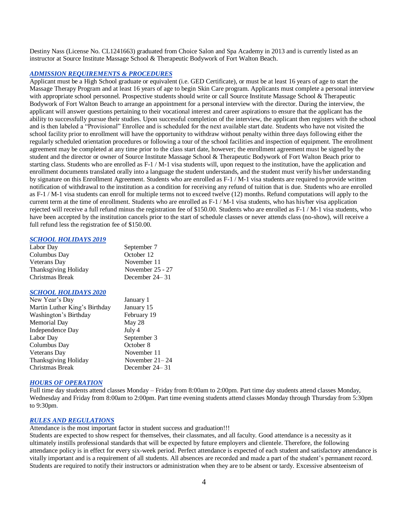Destiny Nass (License No. CL1241663) graduated from Choice Salon and Spa Academy in 2013 and is currently listed as an instructor at Source Institute Massage School & Therapeutic Bodywork of Fort Walton Beach.

### *ADMISSION REQUIREMENTS & PROCEDURES*

Applicant must be a High School graduate or equivalent (i.e. GED Certificate), or must be at least 16 years of age to start the Massage Therapy Program and at least 16 years of age to begin Skin Care program. Applicants must complete a personal interview with appropriate school personnel. Prospective students should write or call Source Institute Massage School & Therapeutic Bodywork of Fort Walton Beach to arrange an appointment for a personal interview with the director. During the interview, the applicant will answer questions pertaining to their vocational interest and career aspirations to ensure that the applicant has the ability to successfully pursue their studies. Upon successful completion of the interview, the applicant then registers with the school and is then labeled a "Provisional" Enrollee and is scheduled for the next available start date. Students who have not visited the school facility prior to enrollment will have the opportunity to withdraw without penalty within three days following either the regularly scheduled orientation procedures or following a tour of the school facilities and inspection of equipment. The enrollment agreement may be completed at any time prior to the class start date, however; the enrollment agreement must be signed by the student and the director or owner of Source Institute Massage School & Therapeutic Bodywork of Fort Walton Beach prior to starting class. Students who are enrolled as F-1 / M-1 visa students will, upon request to the institution, have the application and enrollment documents translated orally into a language the student understands, and the student must verify his/her understanding by signature on this Enrollment Agreement. Students who are enrolled as F-1 / M-1 visa students are required to provide written notification of withdrawal to the institution as a condition for receiving any refund of tuition that is due. Students who are enrolled as F-1 / M-1 visa students can enroll for multiple terms not to exceed twelve (12) months. Refund computations will apply to the current term at the time of enrollment. Students who are enrolled as F-1 / M-1 visa students, who has his/her visa application rejected will receive a full refund minus the registration fee of \$150.00. Students who are enrolled as F-1 / M-1 visa students, who have been accepted by the institution cancels prior to the start of schedule classes or never attends class (no-show), will receive a full refund less the registration fee of \$150.00.

#### *SCHOOL HOLIDAYS 2019*

| Labor Day            | September 7        |
|----------------------|--------------------|
| Columbus Day         | October 12         |
| Veterans Day         | November 11        |
| Thanksgiving Holiday | November $25 - 27$ |
| Christmas Break      | December $24 - 31$ |

#### *SCHOOL HOLIDAYS 2020*

| New Year's Day                | January 1          |
|-------------------------------|--------------------|
| Martin Luther King's Birthday | January 15         |
| Washington's Birthday         | February 19        |
| Memorial Day                  | May 28             |
| Independence Day              | July 4             |
| Labor Day                     | September 3        |
| Columbus Day                  | October 8          |
| Veterans Day                  | November 11        |
| Thanksgiving Holiday          | November $21 - 24$ |
| Christmas Break               | December $24 - 31$ |

#### *HOURS OF OPERATION*

Full time day students attend classes Monday – Friday from 8:00am to 2:00pm. Part time day students attend classes Monday, Wednesday and Friday from 8:00am to 2:00pm. Part time evening students attend classes Monday through Thursday from 5:30pm to 9:30pm.

## *RULES AND REGULATIONS*

Attendance is the most important factor in student success and graduation!!!

Students are expected to show respect for themselves, their classmates, and all faculty. Good attendance is a necessity as it ultimately instills professional standards that will be expected by future employers and clientele. Therefore, the following attendance policy is in effect for every six-week period. Perfect attendance is expected of each student and satisfactory attendance is vitally important and is a requirement of all students. All absences are recorded and made a part of the student's permanent record. Students are required to notify their instructors or administration when they are to be absent or tardy. Excessive absenteeism of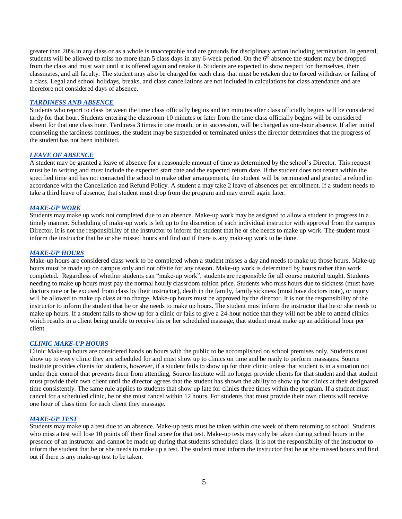greater than 20% in any class or as a whole is unacceptable and are grounds for disciplinary action including termination. In general, students will be allowed to miss no more than 5 class days in any 6-week period. On the  $6<sup>th</sup>$  absence the student may be dropped from the class and must wait until it is offered again and retake it. Students are expected to show respect for themselves, their classmates, and all faculty. The student may also be charged for each class that must be retaken due to forced withdraw or failing of a class. Legal and school holidays, breaks, and class cancellations are not included in calculations for class attendance and are therefore not considered days of absence.

#### *TARDINESS AND ABSENCE*

Students who report to class between the time class officially begins and ten minutes after class officially begins will be considered tardy for that hour. Students entering the classroom 10 minutes or later from the time class officially begins will be considered absent for that one class hour. Tardiness 3 times in one month, or in succession, will be charged as one-hour absence. If after initial counseling the tardiness continues, the student may be suspended or terminated unless the director determines that the progress of the student has not been inhibited.

## *LEAVE OF ABSENCE*

A student may be granted a leave of absence for a reasonable amount of time as determined by the school's Director. This request must be in writing and must include the expected start date and the expected return date. If the student does not return within the specified time and has not contacted the school to make other arrangements, the student will be terminated and granted a refund in accordance with the Cancellation and Refund Policy. A student a may take 2 leave of absences per enrollment. If a student needs to take a third leave of absence, that student must drop from the program and may enroll again later.

### *MAKE-UP WORK*

Students may make up work not completed due to an absence. Make-up work may be assigned to allow a student to progress in a timely manner. Scheduling of make-up work is left up to the discretion of each individual instructor with approval from the campus Director. It is not the responsibility of the instructor to inform the student that he or she needs to make up work. The student must inform the instructor that he or she missed hours and find out if there is any make-up work to be done.

#### *MAKE-UP HOURS*

Make-up hours are considered class work to be completed when a student misses a day and needs to make up those hours. Make-up hours must be made up on campus only and not offsite for any reason. Make-up work is determined by hours rather than work completed. Regardless of whether students can "make-up work", students are responsible for all course material taught. Students needing to make up hours must pay the normal hourly classroom tuition price. Students who miss hours due to sickness (must have doctors note or be excused from class by their instructor), death in the family, family sickness (must have doctors note), or injury will be allowed to make up class at no charge. Make-up hours must be approved by the director. It is not the responsibility of the instructor to inform the student that he or she needs to make up hours. The student must inform the instructor that he or she needs to make up hours. If a student fails to show up for a clinic or fails to give a 24-hour notice that they will not be able to attend clinics which results in a client being unable to receive his or her scheduled massage, that student must make up an additional hour per client.

#### *CLINIC MAKE-UP HOURS*

Clinic Make-up hours are considered hands on hours with the public to be accomplished on school premises only. Students must show up to every clinic they are scheduled for and must show up to clinics on time and be ready to perform massages. Source Institute provides clients for students, however, if a student fails to show up for their clinic unless that student is in a situation not under their control that prevents them from attending, Source Institute will no longer provide clients for that student and that student must provide their own client until the director agrees that the student has shown the ability to show up for clinics at their designated time consistently. The same rule applies to students that show up late for clinics three times within the program. If a student must cancel for a scheduled clinic, he or she must cancel within 12 hours. For students that must provide their own clients will receive one hour of class time for each client they massage.

## *MAKE-UP TEST*

Students may make up a test due to an absence. Make-up tests must be taken within one week of them returning to school. Students who miss a test will lose 10 points off their final score for that test. Make-up tests may only be taken during school hours in the presence of an instructor and cannot be made up during that students scheduled class. It is not the responsibility of the instructor to inform the student that he or she needs to make up a test. The student must inform the instructor that he or she missed hours and find out if there is any make-up test to be taken.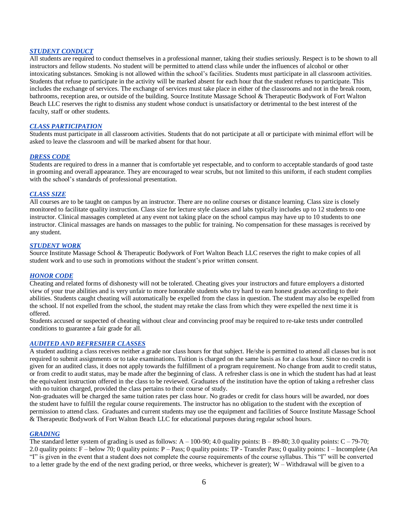## *STUDENT CONDUCT*

All students are required to conduct themselves in a professional manner, taking their studies seriously. Respect is to be shown to all instructors and fellow students. No student will be permitted to attend class while under the influences of alcohol or other intoxicating substances. Smoking is not allowed within the school's facilities. Students must participate in all classroom activities. Students that refuse to participate in the activity will be marked absent for each hour that the student refuses to participate. This includes the exchange of services. The exchange of services must take place in either of the classrooms and not in the break room, bathrooms, reception area, or outside of the building. Source Institute Massage School & Therapeutic Bodywork of Fort Walton Beach LLC reserves the right to dismiss any student whose conduct is unsatisfactory or detrimental to the best interest of the faculty, staff or other students.

## *CLASS PARTICIPATION*

Students must participate in all classroom activities. Students that do not participate at all or participate with minimal effort will be asked to leave the classroom and will be marked absent for that hour.

### *DRESS CODE*

Students are required to dress in a manner that is comfortable yet respectable, and to conform to acceptable standards of good taste in grooming and overall appearance. They are encouraged to wear scrubs, but not limited to this uniform, if each student complies with the school's standards of professional presentation.

### *CLASS SIZE*

All courses are to be taught on campus by an instructor. There are no online courses or distance learning. Class size is closely monitored to facilitate quality instruction. Class size for lecture style classes and labs typically includes up to 12 students to one instructor. Clinical massages completed at any event not taking place on the school campus may have up to 10 students to one instructor. Clinical massages are hands on massages to the public for training. No compensation for these massages is received by any student.

## *STUDENT WORK*

Source Institute Massage School & Therapeutic Bodywork of Fort Walton Beach LLC reserves the right to make copies of all student work and to use such in promotions without the student's prior written consent.

## *HONOR CODE*

Cheating and related forms of dishonesty will not be tolerated. Cheating gives your instructors and future employers a distorted view of your true abilities and is very unfair to more honorable students who try hard to earn honest grades according to their abilities. Students caught cheating will automatically be expelled from the class in question. The student may also be expelled from the school. If not expelled from the school, the student may retake the class from which they were expelled the next time it is offered.

Students accused or suspected of cheating without clear and convincing proof may be required to re-take tests under controlled conditions to guarantee a fair grade for all.

## *AUDITED AND REFRESHER CLASSES*

A student auditing a class receives neither a grade nor class hours for that subject. He/she is permitted to attend all classes but is not required to submit assignments or to take examinations. Tuition is charged on the same basis as for a class hour. Since no credit is given for an audited class, it does not apply towards the fulfillment of a program requirement. No change from audit to credit status, or from credit to audit status, may be made after the beginning of class. A refresher class is one in which the student has had at least the equivalent instruction offered in the class to be reviewed. Graduates of the institution have the option of taking a refresher class with no tuition charged, provided the class pertains to their course of study.

Non-graduates will be charged the same tuition rates per class hour. No grades or credit for class hours will be awarded, nor does the student have to fulfill the regular course requirements. The instructor has no obligation to the student with the exception of permission to attend class. Graduates and current students may use the equipment and facilities of Source Institute Massage School & Therapeutic Bodywork of Fort Walton Beach LLC for educational purposes during regular school hours.

#### *GRADING*

The standard letter system of grading is used as follows:  $A - 100-90$ ; 4.0 quality points:  $B - 89-80$ ; 3.0 quality points:  $C - 79-70$ ; 2.0 quality points: F – below 70; 0 quality points: P – Pass; 0 quality points: TP - Transfer Pass; 0 quality points: I – Incomplete (An "I" is given in the event that a student does not complete the course requirements of the course syllabus. This "I" will be converted to a letter grade by the end of the next grading period, or three weeks, whichever is greater); W – Withdrawal will be given to a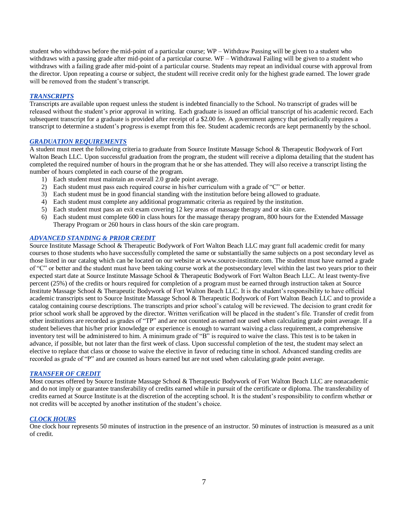student who withdraws before the mid-point of a particular course; WP – Withdraw Passing will be given to a student who withdraws with a passing grade after mid-point of a particular course. WF – Withdrawal Failing will be given to a student who withdraws with a failing grade after mid-point of a particular course. Students may repeat an individual course with approval from the director. Upon repeating a course or subject, the student will receive credit only for the highest grade earned. The lower grade will be removed from the student's transcript.

## *TRANSCRIPTS*

Transcripts are available upon request unless the student is indebted financially to the School. No transcript of grades will be released without the student's prior approval in writing. Each graduate is issued an official transcript of his academic record. Each subsequent transcript for a graduate is provided after receipt of a \$2.00 fee. A government agency that periodically requires a transcript to determine a student's progress is exempt from this fee. Student academic records are kept permanently by the school.

### *GRADUATION REQUIREMENTS*

A student must meet the following criteria to graduate from Source Institute Massage School & Therapeutic Bodywork of Fort Walton Beach LLC. Upon successful graduation from the program, the student will receive a diploma detailing that the student has completed the required number of hours in the program that he or she has attended. They will also receive a transcript listing the number of hours completed in each course of the program.

- 1) Each student must maintain an overall 2.0 grade point average.
- 2) Each student must pass each required course in his/her curriculum with a grade of "C" or better.
- 3) Each student must be in good financial standing with the institution before being allowed to graduate.
- 4) Each student must complete any additional programmatic criteria as required by the institution.
- 5) Each student must pass an exit exam covering 12 key areas of massage therapy and or skin care.
- 6) Each student must complete 600 in class hours for the massage therapy program, 800 hours for the Extended Massage Therapy Program or 260 hours in class hours of the skin care program.

## *ADVANCED STANDING & PRIOR CREDIT*

Source Institute Massage School & Therapeutic Bodywork of Fort Walton Beach LLC may grant full academic credit for many courses to those students who have successfully completed the same or substantially the same subjects on a post secondary level as those listed in our catalog which can be located on our website at www.source-institute.com. The student must have earned a grade of "C" or better and the student must have been taking course work at the postsecondary level within the last two years prior to their expected start date at Source Institute Massage School & Therapeutic Bodywork of Fort Walton Beach LLC. At least twenty-five percent (25%) of the credits or hours required for completion of a program must be earned through instruction taken at Source Institute Massage School & Therapeutic Bodywork of Fort Walton Beach LLC. It is the student's responsibility to have official academic transcripts sent to Source Institute Massage School & Therapeutic Bodywork of Fort Walton Beach LLC and to provide a catalog containing course descriptions. The transcripts and prior school's catalog will be reviewed. The decision to grant credit for prior school work shall be approved by the director. Written verification will be placed in the student's file. Transfer of credit from other institutions are recorded as grades of "TP" and are not counted as earned nor used when calculating grade point average. If a student believes that his/her prior knowledge or experience is enough to warrant waiving a class requirement, a comprehensive inventory test will be administered to him. A minimum grade of "B" is required to waive the class. This test is to be taken in advance, if possible, but not later than the first week of class. Upon successful completion of the test, the student may select an elective to replace that class or choose to waive the elective in favor of reducing time in school. Advanced standing credits are recorded as grade of "P" and are counted as hours earned but are not used when calculating grade point average.

#### *TRANSFER OF CREDIT*

Most courses offered by Source Institute Massage School & Therapeutic Bodywork of Fort Walton Beach LLC are nonacademic and do not imply or guarantee transferability of credits earned while in pursuit of the certificate or diploma. The transferability of credits earned at Source Institute is at the discretion of the accepting school. It is the student's responsibility to confirm whether or not credits will be accepted by another institution of the student's choice.

## *CLOCK HOURS*

One clock hour represents 50 minutes of instruction in the presence of an instructor. 50 minutes of instruction is measured as a unit of credit.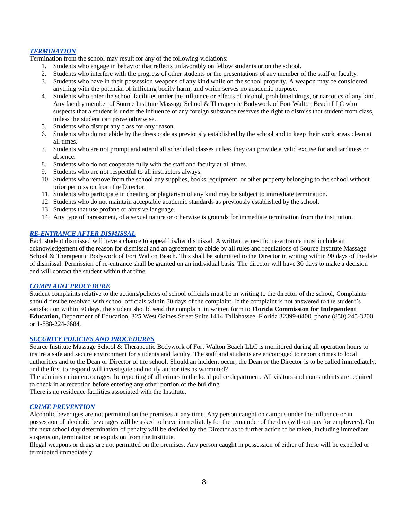## *TERMINATION*

Termination from the school may result for any of the following violations:

- 1. Students who engage in behavior that reflects unfavorably on fellow students or on the school.
- 2. Students who interfere with the progress of other students or the presentations of any member of the staff or faculty.
- 3. Students who have in their possession weapons of any kind while on the school property. A weapon may be considered anything with the potential of inflicting bodily harm, and which serves no academic purpose.
- 4. Students who enter the school facilities under the influence or effects of alcohol, prohibited drugs, or narcotics of any kind. Any faculty member of Source Institute Massage School & Therapeutic Bodywork of Fort Walton Beach LLC who suspects that a student is under the influence of any foreign substance reserves the right to dismiss that student from class, unless the student can prove otherwise.
- 5. Students who disrupt any class for any reason.
- 6. Students who do not abide by the dress code as previously established by the school and to keep their work areas clean at all times.
- 7. Students who are not prompt and attend all scheduled classes unless they can provide a valid excuse for and tardiness or absence.
- 8. Students who do not cooperate fully with the staff and faculty at all times.
- 9. Students who are not respectful to all instructors always.
- 10. Students who remove from the school any supplies, books, equipment, or other property belonging to the school without prior permission from the Director.
- 11. Students who participate in cheating or plagiarism of any kind may be subject to immediate termination.
- 12. Students who do not maintain acceptable academic standards as previously established by the school.
- 13. Students that use profane or abusive language.
- 14. Any type of harassment, of a sexual nature or otherwise is grounds for immediate termination from the institution.

## *RE-ENTRANCE AFTER DISMISSAL*

Each student dismissed will have a chance to appeal his/her dismissal. A written request for re-entrance must include an acknowledgement of the reason for dismissal and an agreement to abide by all rules and regulations of Source Institute Massage School & Therapeutic Bodywork of Fort Walton Beach. This shall be submitted to the Director in writing within 90 days of the date of dismissal. Permission of re-entrance shall be granted on an individual basis. The director will have 30 days to make a decision and will contact the student within that time.

## *COMPLAINT PROCEDURE*

Student complaints relative to the actions/policies of school officials must be in writing to the director of the school, Complaints should first be resolved with school officials within 30 days of the complaint. If the complaint is not answered to the student's satisfaction within 30 days, the student should send the complaint in written form to **Florida Commission for Independent Education,** Department of Education, 325 West Gaines Street Suite 1414 Tallahassee, Florida 32399-0400, phone (850) 245-3200 or 1-888-224-6684.

## *SECURITY POLICIES AND PROCEDURES*

Source Institute Massage School & Therapeutic Bodywork of Fort Walton Beach LLC is monitored during all operation hours to insure a safe and secure environment for students and faculty. The staff and students are encouraged to report crimes to local authorities and to the Dean or Director of the school. Should an incident occur, the Dean or the Director is to be called immediately, and the first to respond will investigate and notify authorities as warranted?

The administration encourages the reporting of all crimes to the local police department. All visitors and non-students are required to check in at reception before entering any other portion of the building.

There is no residence facilities associated with the Institute.

### *CRIME PREVENTION*

Alcoholic beverages are not permitted on the premises at any time. Any person caught on campus under the influence or in possession of alcoholic beverages will be asked to leave immediately for the remainder of the day (without pay for employees). On the next school day determination of penalty will be decided by the Director as to further action to be taken, including immediate suspension, termination or expulsion from the Institute.

Illegal weapons or drugs are not permitted on the premises. Any person caught in possession of either of these will be expelled or terminated immediately.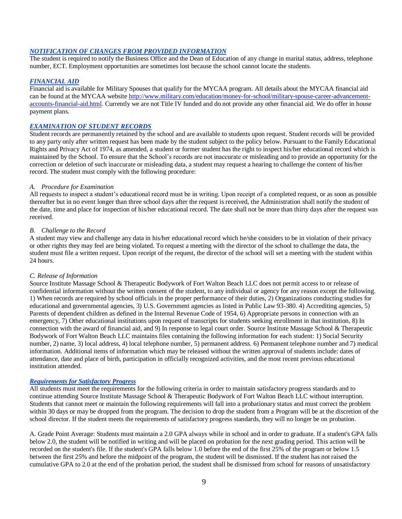## *NOTIFICATION OF CHANGES FROM PROVIDED INFORMATION*

The student is required to notify the Business Office and the Dean of Education of any change in marital status, address, telephone number, ECT. Employment opportunities are sometimes lost because the school cannot locate the students.

### *FINANCIAL AID*

Financial aid is available for Military Spouses that qualify for the MYCAA program. All details about the MYCAA financial aid can be found at the MYCAA website [http://www.military.com/education/money-for-school/military-spouse-career-advancement](http://www.military.com/education/money-for-school/military-spouse-career-advancement-accounts-financial-aid.html)[accounts-financial-aid.html.](http://www.military.com/education/money-for-school/military-spouse-career-advancement-accounts-financial-aid.html) Currently we are not Title IV funded and do not provide any other financial aid. We do offer in house payment plans.

## *EXAMINATION OF STUDENT RECORDS*

Student records are permanently retained by the school and are available to students upon request. Student records will be provided to any party only after written request has been made by the student subject to the policy below. Pursuant to the Family Educational Rights and Privacy Act of 1974, as amended, a student or former student has the right to inspect his/her educational record which is maintained by the School. To ensure that the School's records are not inaccurate or misleading and to provide an opportunity for the correction or deletion of such inaccurate or misleading data, a student may request a hearing to challenge the content of his/her record. The student must comply with the following procedure:

#### *A. Procedure for Examination*

All requests to inspect a student's educational record must be in writing. Upon receipt of a completed request, or as soon as possible thereafter but in no event longer than three school days after the request is received, the Administration shall notify the student of the date, time and place for inspection of his/her educational record. The date shall not be more than thirty days after the request was received.

### *B. Challenge to the Record*

A student may view and challenge any data in his/her educational record which he/she considers to be in violation of their privacy or other rights they may feel are being violated. To request a meeting with the director of the school to challenge the data, the student must file a written request. Upon receipt of the request, the director of the school will set a meeting with the student within 24 hours.

#### *C. Release of Information*

Source Institute Massage School & Therapeutic Bodywork of Fort Walton Beach LLC does not permit access to or release of confidential information without the written consent of the student, to any individual or agency for any reason except the following. 1) When records are required by school officials in the proper performance of their duties, 2) Organizations conducting studies for educational and governmental agencies, 3) U.S. Government agencies as listed in Public Law 93-380. 4) Accrediting agencies, 5) Parents of dependent children as defined in the Internal Revenue Code of 1954, 6) Appropriate persons in connection with an emergency, 7) Other educational institutions upon request of transcripts for students seeking enrollment in that institution, 8) In connection with the award of financial aid, and 9) In response to legal court order. Source Institute Massage School & Therapeutic Bodywork of Fort Walton Beach LLC maintains files containing the following information for each student: 1) Social Security number, 2) name, 3) local address, 4) local telephone number, 5) permanent address. 6) Permanent telephone number and 7) medical information. Additional items of information which may be released without the written approval of students include: dates of attendance, date and place of birth, participation in officially recognized activities, and the most recent previous educational institution attended.

#### *Requirements for Satisfactory Progress*

All students must meet the requirements for the following criteria in order to maintain satisfactory progress standards and to continue attending Source Institute Massage School & Therapeutic Bodywork of Fort Walton Beach LLC without interruption. Students that cannot meet or maintain the following requirements will fall into a probationary status and must correct the problem within 30 days or may be dropped from the program. The decision to drop the student from a Program will be at the discretion of the school director. If the student meets the requirements of satisfactory progress standards, they will no longer be on probation.

A. Grade Point Average: Students must maintain a 2.0 GPA always while in school and in order to graduate. If a student's GPA falls below 2.0, the student will be notified in writing and will be placed on probation for the next grading period. This action will be recorded on the student's file. If the student's GPA falls below 1.0 before the end of the first 25% of the program or below 1.5 between the first 25% and before the midpoint of the program, the student will be dismissed. If the student has not raised the cumulative GPA to 2.0 at the end of the probation period, the student shall be dismissed from school for reasons of unsatisfactory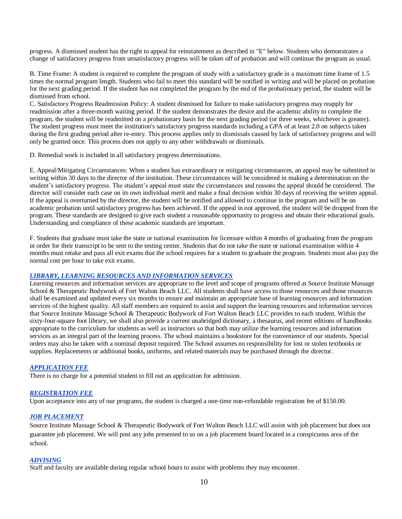progress. A dismissed student has the right to appeal for reinstatement as described in "E" below. Students who demonstrates a change of satisfactory progress from unsatisfactory progress will be taken off of probation and will continue the program as usual.

B. Time Frame: A student is required to complete the program of study with a satisfactory grade in a maximum time frame of 1.5 times the normal program length. Students who fail to meet this standard will be notified in writing and will be placed on probation for the next grading period. If the student has not completed the program by the end of the probationary period, the student will be dismissed from school.

C. Satisfactory Progress Readmission Policy: A student dismissed for failure to make satisfactory progress may reapply for readmission after a three-month waiting period. If the student demonstrates the desire and the academic ability to complete the program, the student will be readmitted on a probationary basis for the next grading period (or three weeks, whichever is greater). The student progress must meet the institution's satisfactory progress standards including a GPA of at least 2.0 on subjects taken during the first grading period after re-entry. This process applies only to dismissals caused by lack of satisfactory progress and will only be granted once. This process does not apply to any other withdrawals or dismissals.

D. Remedial work is included in all satisfactory progress determinations.

E. Appeal/Mitigating Circumstances: When a student has extraordinary or mitigating circumstances, an appeal may be submitted in writing within 30 days to the director of the institution. These circumstances will be considered in making a determination on the student's satisfactory progress. The student's appeal must state the circumstances and reasons the appeal should be considered. The director will consider each case on its own individual merit and make a final decision within 30 days of receiving the written appeal. If the appeal is overturned by the director, the student will be notified and allowed to continue in the program and will be on academic probation until satisfactory progress has been achieved. If the appeal in not approved, the student will be dropped from the program. These standards are designed to give each student a reasonable opportunity to progress and obtain their educational goals. Understanding and compliance of these academic standards are important.

F. Students that graduate must take the state or national examination for licensure within 4 months of graduating from the program in order for their transcript to be sent to the testing center. Students that do not take the state or national examination within 4 months must retake and pass all exit exams that the school requires for a student to graduate the program. Students must also pay the normal cost per hour to take exit exams.

### *LIBRARY, LEARNING RESOURCES AND INFORMATION SERVICES*

Learning resources and information services are appropriate to the level and scope of programs offered at Source Institute Massage School & Therapeutic Bodywork of Fort Walton Beach LLC. All students shall have access to those resources and those resources shall be examined and updated every six months to ensure and maintain an appropriate base of learning resources and information services of the highest quality. All staff members are required to assist and support the learning resources and information services that Source Institute Massage School & Therapeutic Bodywork of Fort Walton Beach LLC provides to each student. Within the sixty-four-square foot library, we shall also provide a current unabridged dictionary, a thesaurus, and recent editions of handbooks appropriate to the curriculum for students as well as instructors so that both may utilize the learning resources and information services as an integral part of the learning process. The school maintains a bookstore for the convenience of our students. Special orders may also be taken with a nominal deposit required. The School assumes no responsibility for lost or stolen textbooks or supplies. Replacements or additional books, uniforms, and related materials may be purchased through the director.

## *APPLICATION FEE*

There is no charge for a potential student to fill out an application for admission.

## *REGISTRATION FEE*

Upon acceptance into any of our programs, the student is charged a one-time non-refundable registration fee of \$150.00.

#### *JOB PLACEMENT*

Source Institute Massage School & Therapeutic Bodywork of Fort Walton Beach LLC will assist with job placement but does not guarantee job placement. We will post any jobs presented to us on a job placement board located in a conspicuous area of the school.

## *ADVISING*

Staff and faculty are available during regular school hours to assist with problems they may encounter.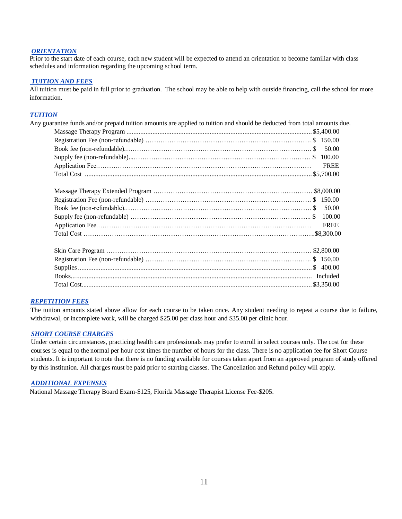## *ORIENTATION*

Prior to the start date of each course, each new student will be expected to attend an orientation to become familiar with class schedules and information regarding the upcoming school term.

### *TUITION AND FEES*

All tuition must be paid in full prior to graduation. The school may be able to help with outside financing, call the school for more information.

## *TUITION*

| 50.00<br><b>FREE</b><br>50.00<br><b>FREE</b> | Any guarantee funds and/or prepaid tuition amounts are applied to tuition and should be deducted from total amounts due. |  |
|----------------------------------------------|--------------------------------------------------------------------------------------------------------------------------|--|
|                                              |                                                                                                                          |  |
|                                              |                                                                                                                          |  |
|                                              |                                                                                                                          |  |
|                                              |                                                                                                                          |  |
|                                              |                                                                                                                          |  |
|                                              |                                                                                                                          |  |
|                                              |                                                                                                                          |  |
|                                              |                                                                                                                          |  |
|                                              |                                                                                                                          |  |
|                                              |                                                                                                                          |  |
|                                              |                                                                                                                          |  |
|                                              |                                                                                                                          |  |
|                                              |                                                                                                                          |  |
|                                              |                                                                                                                          |  |
|                                              |                                                                                                                          |  |
|                                              |                                                                                                                          |  |
|                                              |                                                                                                                          |  |

### *REPETITION FEES*

The tuition amounts stated above allow for each course to be taken once. Any student needing to repeat a course due to failure, withdrawal, or incomplete work, will be charged \$25.00 per class hour and \$35.00 per clinic hour.

#### *SHORT COURSE CHARGES*

Under certain circumstances, practicing health care professionals may prefer to enroll in select courses only. The cost for these courses is equal to the normal per hour cost times the number of hours for the class. There is no application fee for Short Course students. It is important to note that there is no funding available for courses taken apart from an approved program of study offered by this institution. All charges must be paid prior to starting classes. The Cancellation and Refund policy will apply.

#### *ADDITIONAL EXPENSES*

National Massage Therapy Board Exam-\$125, Florida Massage Therapist License Fee-\$205.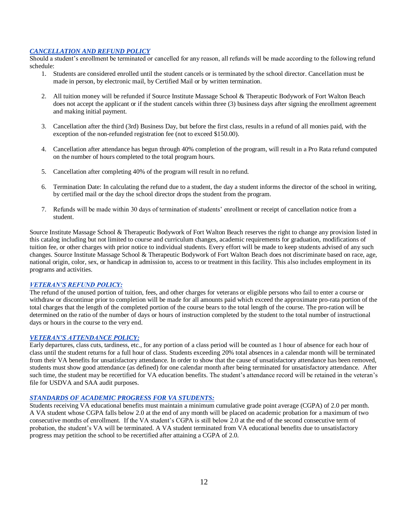## *CANCELLATION AND REFUND POLICY*

Should a student's enrollment be terminated or cancelled for any reason, all refunds will be made according to the following refund schedule:

- 1. Students are considered enrolled until the student cancels or is terminated by the school director. Cancellation must be made in person, by electronic mail, by Certified Mail or by written termination.
- 2. All tuition money will be refunded if Source Institute Massage School & Therapeutic Bodywork of Fort Walton Beach does not accept the applicant or if the student cancels within three (3) business days after signing the enrollment agreement and making initial payment.
- 3. Cancellation after the third (3rd) Business Day, but before the first class, results in a refund of all monies paid, with the exception of the non-refunded registration fee (not to exceed \$150.00).
- 4. Cancellation after attendance has begun through 40% completion of the program, will result in a Pro Rata refund computed on the number of hours completed to the total program hours.
- 5. Cancellation after completing 40% of the program will result in no refund.
- 6. Termination Date: In calculating the refund due to a student, the day a student informs the director of the school in writing, by certified mail or the day the school director drops the student from the program.
- 7. Refunds will be made within 30 days of termination of students' enrollment or receipt of cancellation notice from a student.

Source Institute Massage School & Therapeutic Bodywork of Fort Walton Beach reserves the right to change any provision listed in this catalog including but not limited to course and curriculum changes, academic requirements for graduation, modifications of tuition fee, or other charges with prior notice to individual students. Every effort will be made to keep students advised of any such changes. Source Institute Massage School & Therapeutic Bodywork of Fort Walton Beach does not discriminate based on race, age, national origin, color, sex, or handicap in admission to, access to or treatment in this facility. This also includes employment in its programs and activities.

#### *VETERAN'S REFUND POLICY:*

The refund of the unused portion of tuition, fees, and other charges for veterans or eligible persons who fail to enter a course or withdraw or discontinue prior to completion will be made for all amounts paid which exceed the approximate pro-rata portion of the total charges that the length of the completed portion of the course bears to the total length of the course. The pro-ration will be determined on the ratio of the number of days or hours of instruction completed by the student to the total number of instructional days or hours in the course to the very end.

## *VETERAN'S ATTENDANCE POLICY:*

Early departures, class cuts, tardiness, etc., for any portion of a class period will be counted as 1 hour of absence for each hour of class until the student returns for a full hour of class. Students exceeding 20% total absences in a calendar month will be terminated from their VA benefits for unsatisfactory attendance. In order to show that the cause of unsatisfactory attendance has been removed, students must show good attendance (as defined) for one calendar month after being terminated for unsatisfactory attendance. After such time, the student may be recertified for VA education benefits. The student's attendance record will be retained in the veteran's file for USDVA and SAA audit purposes.

## *STANDARDS OF ACADEMIC PROGRESS FOR VA STUDENTS:*

Students receiving VA educational benefits must maintain a minimum cumulative grade point average (CGPA) of 2.0 per month. A VA student whose CGPA falls below 2.0 at the end of any month will be placed on academic probation for a maximum of two consecutive months of enrollment. If the VA student's CGPA is still below 2.0 at the end of the second consecutive term of probation, the student's VA will be terminated. A VA student terminated from VA educational benefits due to unsatisfactory progress may petition the school to be recertified after attaining a CGPA of 2.0.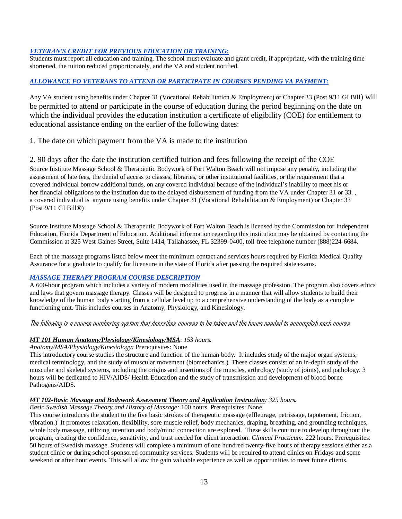# *VETERAN'S CREDIT FOR PREVIOUS EDUCATION OR TRAINING:*

Students must report all education and training. The school must evaluate and grant credit, if appropriate, with the training time shortened, the tuition reduced proportionately, and the VA and student notified.

# *ALLOWANCE FO VETERANS TO ATTEND OR PARTICIPATE IN COURSES PENDING VA PAYMENT:*

Any VA student using benefits under Chapter 31 (Vocational Rehabilitation & Employment) or Chapter 33 (Post 9/11 GI Bill) will be permitted to attend or participate in the course of education during the period beginning on the date on which the individual provides the education institution a certificate of eligibility (COE) for entitlement to educational assistance ending on the earlier of the following dates:

1. The date on which payment from the VA is made to the institution

2. 90 days after the date the institution certified tuition and fees following the receipt of the COE Source Institute Massage School & Therapeutic Bodywork of Fort Walton Beach will not impose any penalty, including the assessment of late fees, the denial of access to classes, libraries, or other institutional facilities, or the requirement that a covered individual borrow additional funds, on any covered individual because of the individual's inability to meet his or her financial obligations to the institution due to the delayed disbursement of funding from the VA under Chapter 31 or 33., a covered individual is anyone using benefits under Chapter 31 (Vocational Rehabilitation & Employment) or Chapter 33 (Post 9/11 GI Bill®)

Source Institute Massage School & Therapeutic Bodywork of Fort Walton Beach is licensed by the Commission for Independent Education, Florida Department of Education. Additional information regarding this institution may be obtained by contacting the Commission at 325 West Gaines Street, Suite 1414, Tallahassee, FL 32399-0400, toll-free telephone number (888)224-6684.

Each of the massage programs listed below meet the minimum contact and services hours required by Florida Medical Quality Assurance for a graduate to qualify for licensure in the state of Florida after passing the required state exams.

# *MASSAGE THERAPY PROGRAM COURSE DESCRIPTION*

A 600-hour program which includes a variety of modern modalities used in the massage profession. The program also covers ethics and laws that govern massage therapy. Classes will be designed to progress in a manner that will allow students to build their knowledge of the human body starting from a cellular level up to a comprehensive understanding of the body as a complete functioning unit. This includes courses in Anatomy, Physiology, and Kinesiology.

# The following is a course numbering system that describes courses to be taken and the hours needed to accomplish each course.

# *MT 101 Human Anatomy/Physiology/Kinesiology/MSA*: *153 hours.*

## *Anatomy/MSA/Physiology/Kinesiology:* Prerequisites: None

This introductory course studies the structure and function of the human body. It includes study of the major organ systems, medical terminology, and the study of muscular movement (biomechanics.) These classes consist of an in-depth study of the muscular and skeletal systems, including the origins and insertions of the muscles, arthrology (study of joints), and pathology. 3 hours will be dedicated to HIV/AIDS/ Health Education and the study of transmission and development of blood borne Pathogens/AIDS.

## *MT 102-Basic Massage and Bodywork Assessment Theory and Application Instruction: 325 hours.*

*Basic Swedish Massage Theory and History of Massage:* 100 hours. Prerequisites: None.

This course introduces the student to the five basic strokes of therapeutic massage (effleurage, petrissage, tapotement, friction, vibration.) It promotes relaxation, flexibility, sore muscle relief, body mechanics, draping, breathing, and grounding techniques, whole body massage, utilizing intention and body/mind connection are explored. These skills continue to develop throughout the program, creating the confidence, sensitivity, and trust needed for client interaction. *Clinical Practicum:* 222 hours. Prerequisites: 50 hours of Swedish massage. Students will complete a minimum of one hundred twenty-five hours of therapy sessions either as a student clinic or during school sponsored community services. Students will be required to attend clinics on Fridays and some weekend or after hour events. This will allow the gain valuable experience as well as opportunities to meet future clients.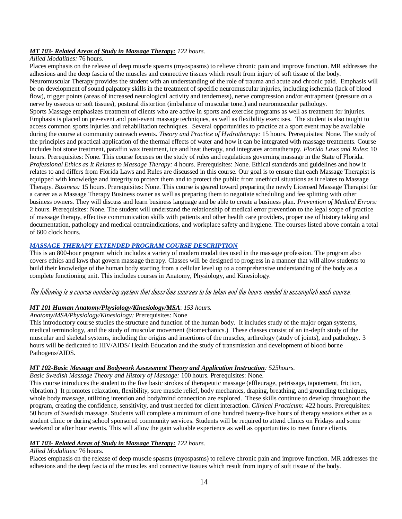## *MT 103- Related Areas of Study in Massage Therapy: 122 hours.*

### *Allied Modalities:* 76 hours.

Places emphasis on the release of deep muscle spasms (myospasms) to relieve chronic pain and improve function. MR addresses the adhesions and the deep fascia of the muscles and connective tissues which result from injury of soft tissue of the body. Neuromuscular Therapy provides the student with an understanding of the role of trauma and acute and chronic paid. Emphasis will be on development of sound palpatory skills in the treatment of specific neuromuscular injuries, including ischemia (lack of blood flow), trigger points (areas of increased neurological activity and tenderness), nerve compression and/or entrapment (pressure on a nerve by osseous or soft tissues), postural distortion (imbalance of muscular tone.) and neuromuscular pathology. Sports Massage emphasizes treatment of clients who are active in sports and exercise programs as well as treatment for injuries. Emphasis is placed on pre-event and post-event massage techniques, as well as flexibility exercises. The student is also taught to access common sports injuries and rehabilitation techniques. Several opportunities to practice at a sport event may be available during the course at community outreach events. *Theory and Practice of Hydrotherapy:* 15 hours. Prerequisites: None. The study of the principles and practical application of the thermal effects of water and how it can be integrated with massage treatments. Course includes hot stone treatment, paraffin wax treatment, ice and heat therapy, and integrates aromatherapy. *Florida Laws and Rules*: 10 hours. Prerequisites: None. This course focuses on the study of rules and regulations governing massage in the State of Florida. *Professional Ethics as It Relates to Massage Therapy:* 4 hours. Prerequisites: None. Ethical standards and guidelines and how it relates to and differs from Florida Laws and Rules are discussed in this course. Our goal is to ensure that each Massage Therapist is equipped with knowledge and integrity to protect them and to protect the public from unethical situations as it relates to Massage Therapy. *Business:* 15 hours. Prerequisites: None. This course is geared toward preparing the newly Licensed Massage Therapist for a career as a Massage Therapy Business owner as well as preparing them to negotiate scheduling and fee splitting with other business owners. They will discuss and learn business language and be able to create a business plan. *Prevention of Medical Errors:* 2 hours. Prerequisites: None. The student will understand the relationship of medical error prevention to the legal scope of practice of massage therapy, effective communication skills with patients and other health care providers, proper use of history taking and documentation, pathology and medical contraindications, and workplace safety and hygiene. The courses listed above contain a total of 600 clock hours.

# *MASSAGE THERAPY EXTENDED PROGRAM COURSE DESCRIPTION*

This is an 800-hour program which includes a variety of modern modalities used in the massage profession. The program also covers ethics and laws that govern massage therapy. Classes will be designed to progress in a manner that will allow students to build their knowledge of the human body starting from a cellular level up to a comprehensive understanding of the body as a complete functioning unit. This includes courses in Anatomy, Physiology, and Kinesiology.

## The following is a course numbering system that describes courses to be taken and the hours needed to accomplish each course.

## *MT 101 Human Anatomy/Physiology/Kinesiology/MSA*: *153 hours.*

### *Anatomy/MSA/Physiology/Kinesiology:* Prerequisites: None

This introductory course studies the structure and function of the human body. It includes study of the major organ systems, medical terminology, and the study of muscular movement (biomechanics.) These classes consist of an in-depth study of the muscular and skeletal systems, including the origins and insertions of the muscles, arthrology (study of joints), and pathology. 3 hours will be dedicated to HIV/AIDS/ Health Education and the study of transmission and development of blood borne Pathogens/AIDS.

## *MT 102-Basic Massage and Bodywork Assessment Theory and Application Instruction: 525hours.*

*Basic Swedish Massage Theory and History of Massage:* 100 hours. Prerequisites: None.

This course introduces the student to the five basic strokes of therapeutic massage (effleurage, petrissage, tapotement, friction, vibration.) It promotes relaxation, flexibility, sore muscle relief, body mechanics, draping, breathing, and grounding techniques, whole body massage, utilizing intention and body/mind connection are explored. These skills continue to develop throughout the program, creating the confidence, sensitivity, and trust needed for client interaction. *Clinical Practicum:* 422 hours. Prerequisites: 50 hours of Swedish massage. Students will complete a minimum of one hundred twenty-five hours of therapy sessions either as a student clinic or during school sponsored community services. Students will be required to attend clinics on Fridays and some weekend or after hour events. This will allow the gain valuable experience as well as opportunities to meet future clients.

### *MT 103- Related Areas of Study in Massage Therapy: 122 hours.*

## *Allied Modalities:* 76 hours.

Places emphasis on the release of deep muscle spasms (myospasms) to relieve chronic pain and improve function. MR addresses the adhesions and the deep fascia of the muscles and connective tissues which result from injury of soft tissue of the body.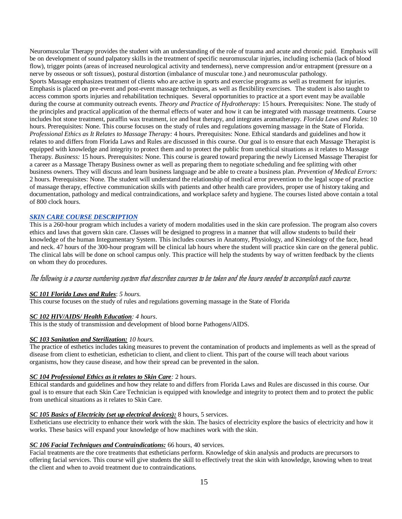Neuromuscular Therapy provides the student with an understanding of the role of trauma and acute and chronic paid. Emphasis will be on development of sound palpatory skills in the treatment of specific neuromuscular injuries, including ischemia (lack of blood flow), trigger points (areas of increased neurological activity and tenderness), nerve compression and/or entrapment (pressure on a nerve by osseous or soft tissues), postural distortion (imbalance of muscular tone.) and neuromuscular pathology. Sports Massage emphasizes treatment of clients who are active in sports and exercise programs as well as treatment for injuries. Emphasis is placed on pre-event and post-event massage techniques, as well as flexibility exercises. The student is also taught to access common sports injuries and rehabilitation techniques. Several opportunities to practice at a sport event may be available during the course at community outreach events. *Theory and Practice of Hydrotherapy:* 15 hours. Prerequisites: None. The study of the principles and practical application of the thermal effects of water and how it can be integrated with massage treatments. Course includes hot stone treatment, paraffin wax treatment, ice and heat therapy, and integrates aromatherapy. *Florida Laws and Rules*: 10 hours. Prerequisites: None. This course focuses on the study of rules and regulations governing massage in the State of Florida. *Professional Ethics as It Relates to Massage Therapy:* 4 hours. Prerequisites: None. Ethical standards and guidelines and how it relates to and differs from Florida Laws and Rules are discussed in this course. Our goal is to ensure that each Massage Therapist is equipped with knowledge and integrity to protect them and to protect the public from unethical situations as it relates to Massage Therapy. *Business:* 15 hours. Prerequisites: None. This course is geared toward preparing the newly Licensed Massage Therapist for a career as a Massage Therapy Business owner as well as preparing them to negotiate scheduling and fee splitting with other business owners. They will discuss and learn business language and be able to create a business plan. *Prevention of Medical Errors:* 2 hours. Prerequisites: None. The student will understand the relationship of medical error prevention to the legal scope of practice of massage therapy, effective communication skills with patients and other health care providers, proper use of history taking and documentation, pathology and medical contraindications, and workplace safety and hygiene. The courses listed above contain a total of 800 clock hours.

### *SKIN CARE COURSE DESCRIPTION*

This is a 260-hour program which includes a variety of modern modalities used in the skin care profession. The program also covers ethics and laws that govern skin care. Classes will be designed to progress in a manner that will allow students to build their knowledge of the human Integumentary System. This includes courses in Anatomy, Physiology, and Kinesiology of the face, head and neck. 47 hours of the 300-hour program will be clinical lab hours where the student will practice skin care on the general public. The clinical labs will be done on school campus only. This practice will help the students by way of written feedback by the clients on whom they do procedures.

## The following is a course numbering system that describes courses to be taken and the hours needed to accomplish each course.

# *SC 101 Florida Laws and Rules*: *5 hours.*

This course focuses on the study of rules and regulations governing massage in the State of Florida

#### *SC 102 HIV/AIDS/ Health Education: 4 hours*.

This is the study of transmission and development of blood borne Pathogens/AIDS.

### *SC 103 Sanitation and Sterilization: 10 hours.*

The practice of esthetics includes taking measures to prevent the contamination of products and implements as well as the spread of disease from client to esthetician, esthetician to client, and client to client. This part of the course will teach about various organisms, how they cause disease, and how their spread can be prevented in the salon.

## *SC 104 Professional Ethics as it relates to Skin Care:* 2 hours.

Ethical standards and guidelines and how they relate to and differs from Florida Laws and Rules are discussed in this course. Our goal is to ensure that each Skin Care Technician is equipped with knowledge and integrity to protect them and to protect the public from unethical situations as it relates to Skin Care.

#### *SC 105 Basics of Electricity (set up electrical devices):* 8 hours, 5 services.

Estheticians use electricity to enhance their work with the skin. The basics of electricity explore the basics of electricity and how it works. These basics will expand your knowledge of how machines work with the skin.

### *SC 106 Facial Techniques and Contraindications:* 66 hours, 40 services.

Facial treatments are the core treatments that estheticians perform. Knowledge of skin analysis and products are precursors to offering facial services. This course will give students the skill to effectively treat the skin with knowledge, knowing when to treat the client and when to avoid treatment due to contraindications.